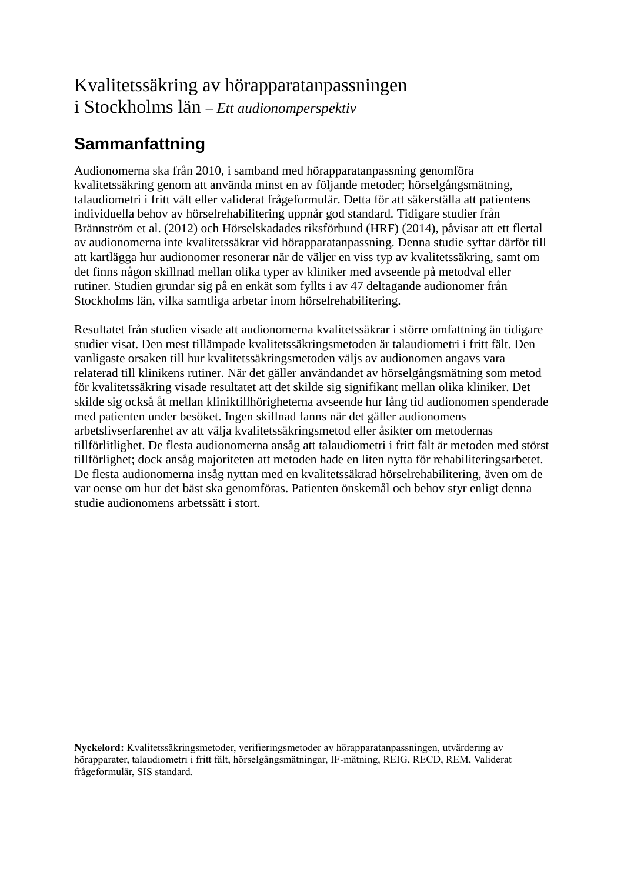## Kvalitetssäkring av hörapparatanpassningen i Stockholms län *– Ett audionomperspektiv*

## **Sammanfattning**

Audionomerna ska från 2010, i samband med hörapparatanpassning genomföra kvalitetssäkring genom att använda minst en av följande metoder; hörselgångsmätning, talaudiometri i fritt vält eller validerat frågeformulär. Detta för att säkerställa att patientens individuella behov av hörselrehabilitering uppnår god standard. Tidigare studier från Brännström et al. (2012) och Hörselskadades riksförbund (HRF) (2014), påvisar att ett flertal av audionomerna inte kvalitetssäkrar vid hörapparatanpassning. Denna studie syftar därför till att kartlägga hur audionomer resonerar när de väljer en viss typ av kvalitetssäkring, samt om det finns någon skillnad mellan olika typer av kliniker med avseende på metodval eller rutiner. Studien grundar sig på en enkät som fyllts i av 47 deltagande audionomer från Stockholms län, vilka samtliga arbetar inom hörselrehabilitering.

Resultatet från studien visade att audionomerna kvalitetssäkrar i större omfattning än tidigare studier visat. Den mest tillämpade kvalitetssäkringsmetoden är talaudiometri i fritt fält. Den vanligaste orsaken till hur kvalitetssäkringsmetoden väljs av audionomen angavs vara relaterad till klinikens rutiner. När det gäller användandet av hörselgångsmätning som metod för kvalitetssäkring visade resultatet att det skilde sig signifikant mellan olika kliniker. Det skilde sig också åt mellan kliniktillhörigheterna avseende hur lång tid audionomen spenderade med patienten under besöket. Ingen skillnad fanns när det gäller audionomens arbetslivserfarenhet av att välja kvalitetssäkringsmetod eller åsikter om metodernas tillförlitlighet. De flesta audionomerna ansåg att talaudiometri i fritt fält är metoden med störst tillförlighet; dock ansåg majoriteten att metoden hade en liten nytta för rehabiliteringsarbetet. De flesta audionomerna insåg nyttan med en kvalitetssäkrad hörselrehabilitering, även om de var oense om hur det bäst ska genomföras. Patienten önskemål och behov styr enligt denna studie audionomens arbetssätt i stort.

**Nyckelord:** Kvalitetssäkringsmetoder, verifieringsmetoder av hörapparatanpassningen, utvärdering av hörapparater, talaudiometri i fritt fält, hörselgångsmätningar, IF-mätning, REIG, RECD, REM, Validerat frågeformulär, SIS standard.